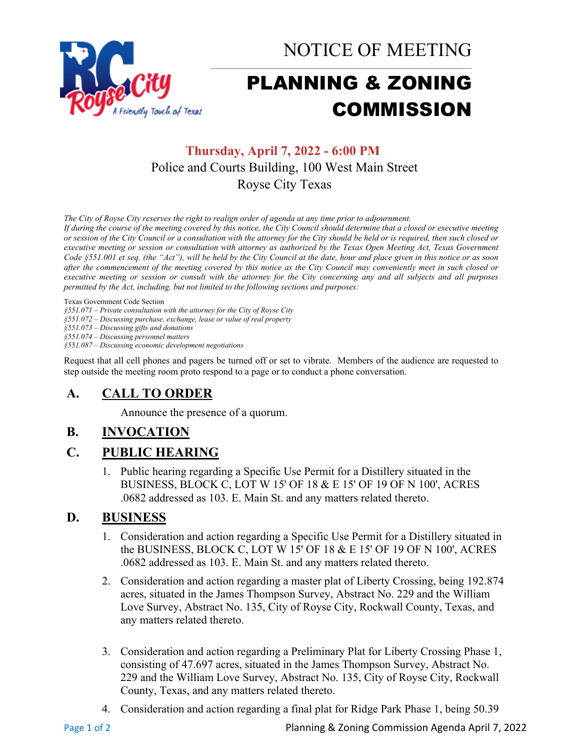

NOTICE OF MEETING

# PLANNING & ZONING COMMISSION

# **Thursday, April 7, 2022 - 6:00 PM** Police and Courts Building, 100 West Main Street Royse City Texas

*The City of Royse City reserves the right to realign order of agenda at any time prior to adjournment.*

*If during the course of the meeting covered by this notice, the City Council should determine that a closed or executive meeting or session of the City Council or a consultation with the attorney for the City should be held or is required, then such closed or executive meeting or session or consultation with attorney as authorized by the Texas Open Meeting Act, Texas Government Code §551.001 et seq. (the "Act"), will be held by the City Council at the date, hour and place given in this notice or as soon after the commencement of the meeting covered by this notice as the City Council may conveniently meet in such closed or executive meeting or session or consult with the attorney for the City concerning any and all subjects and all purposes permitted by the Act, including, but not limited to the following sections and purposes:*

Texas Government Code Section

*§551.071 – Private consultation with the attorney for the City of Royse City* 

*§551.072 – Discussing purchase, exchange, lease or value of real property* 

*§551.073 – Discussing gifts and donations*

*§551.074 – Discussing personnel matters*

*§551.087 – Discussing economic development negotiations*

Request that all cell phones and pagers be turned off or set to vibrate. Members of the audience are requested to step outside the meeting room proto respond to a page or to conduct a phone conversation.

# **A. CALL TO ORDER**

Announce the presence of a quorum.

# **B. INVOCATION**

# **C. PUBLIC HEARING**

1. Public hearing regarding a Specific Use Permit for a Distillery situated in the BUSINESS, BLOCK C, LOT W 15' OF 18 & E 15' OF 19 OF N 100', ACRES .0682 addressed as 103. E. Main St. and any matters related thereto.

## **D. BUSINESS**

- 1. Consideration and action regarding a Specific Use Permit for a Distillery situated in the BUSINESS, BLOCK C, LOT W 15' OF 18 & E 15' OF 19 OF N 100', ACRES .0682 addressed as 103. E. Main St. and any matters related thereto.
- 2. Consideration and action regarding a master plat of Liberty Crossing, being 192.874 acres, situated in the James Thompson Survey, Abstract No. 229 and the William Love Survey, Abstract No. 135, City of Royse City, Rockwall County, Texas, and any matters related thereto.
- 3. Consideration and action regarding a Preliminary Plat for Liberty Crossing Phase 1, consisting of 47.697 acres, situated in the James Thompson Survey, Abstract No. 229 and the William Love Survey, Abstract No. 135, City of Royse City, Rockwall County, Texas, and any matters related thereto.
- 4. Consideration and action regarding a final plat for Ridge Park Phase 1, being 50.39

Page 1 of 2 **Page 1 of 2** Planning & Zoning Commission Agenda April 7, 2022